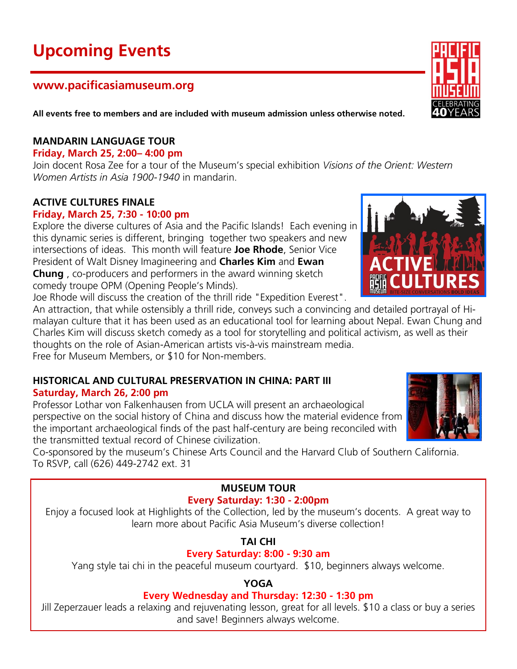# **Upcoming Events**

# **www.pacificasiamuseum.org**

**All events free to members and are included with museum admission unless otherwise noted.**

#### **MANDARIN LANGUAGE TOUR**

**Friday, March 25, 2:00– 4:00 pm**

Join docent Rosa Zee for a tour of the Museum's special exhibition *Visions of the Orient: Western Women Artists in Asia 1900-1940* in mandarin.

# **ACTIVE CULTURES FINALE**

#### **Friday, March 25, 7:30 - 10:00 pm**

Explore the diverse cultures of Asia and the Pacific Islands! Each evening in this dynamic series is different, bringing together two speakers and new intersections of ideas. This month will feature **Joe Rhode**, Senior Vice President of Walt Disney Imagineering and **Charles Kim** and **Ewan Chung** , co-producers and performers in the award winning sketch comedy troupe OPM (Opening People's Minds).

Joe Rhode will discuss the creation of the thrill ride "Expedition Everest".

An attraction, that while ostensibly a thrill ride, conveys such a convincing and detailed portrayal of Himalayan culture that it has been used as an educational tool for learning about Nepal. Ewan Chung and Charles Kim will discuss sketch comedy as a tool for storytelling and political activism, as well as their thoughts on the role of Asian-American artists vis-à-vis mainstream media.

Free for Museum Members, or \$10 for Non-members.

# **HISTORICAL AND CULTURAL PRESERVATION IN CHINA: PART III Saturday, March 26, 2:00 pm**

Professor Lothar von Falkenhausen from UCLA will present an archaeological perspective on the social history of China and discuss how the material evidence from the important archaeological finds of the past half-century are being reconciled with the transmitted textual record of Chinese civilization.

Co-sponsored by the museum's Chinese Arts Council and the Harvard Club of Southern California. To RSVP, call (626) 449-2742 ext. 31

#### **MUSEUM TOUR Every Saturday: 1:30 - 2:00pm**

Enjoy a focused look at Highlights of the Collection, led by the museum's docents. A great way to learn more about Pacific Asia Museum's diverse collection!

**TAI CHI**

# **Every Saturday: 8:00 - 9:30 am**

Yang style tai chi in the peaceful museum courtyard. \$10, beginners always welcome.

#### **YOGA**

#### **Every Wednesday and Thursday: 12:30 - 1:30 pm**

Jill Zeperzauer leads a relaxing and rejuvenating lesson, great for all levels. \$10 a class or buy a series and save! Beginners always welcome.